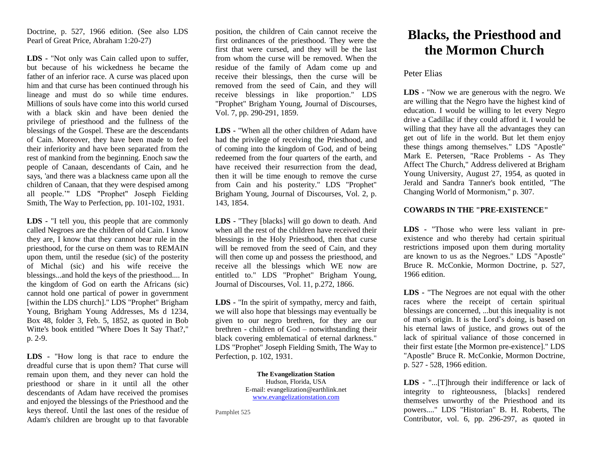Doctrine, p. 527, 1966 edition. (See also LDS Pearl of Great Price, Abraham 1:20-27)

**LDS -** "Not only was Cain called upon to suffer, but because of his wickedness he became the father of an inferior race. A curse was placed upon him and that curse has been continued through his lineage and must do so while time endures. Millions of souls have come into this world cursed with a black skin and have been denied the privilege of priesthood and the fullness of the blessings of the Gospel. These are the descendants of Cain. Moreover, they have been made to feel their inferiority and have been separated from the rest of mankind from the beginning. Enoch saw the people of Canaan, descendants of Cain, and he says, 'and there was a blackness came upon all the children of Canaan, that they were despised among all people.'" LDS "Prophet" Joseph Fielding Smith, The Way to Perfection, pp. 101-102, 1931.

**LDS -** "I tell you, this people that are commonly called Negroes are the children of old Cain. I know they are, I know that they cannot bear rule in the priesthood, for the curse on them was to REMAIN upon them, until the resedue (sic) of the posterity of Michal (sic) and his wife receive the blessings...and hold the keys of the priesthood.... In the kingdom of God on earth the Africans (sic) cannot hold one partical of power in government [within the LDS church]." LDS "Prophet" Brigham Young, Brigham Young Addresses, Ms d 1234, Box 48, folder 3, Feb. 5, 1852, as quoted in Bob Witte's book entitled "Where Does It Say That?," p. 2-9.

**LDS -** "How long is that race to endure the dreadful curse that is upon them? That curse will remain upon them, and they never can hold the priesthood or share in it until all the other descendants of Adam have received the promises and enjoyed the blessings of the Priesthood and the keys thereof. Until the last ones of the residue of Adam's children are brought up to that favorable

position, the children of Cain cannot receive the first ordinances of the priesthood. They were the first that were cursed, and they will be the last from whom the curse will be removed. When the residue of the family of Adam come up and receive their blessings, then the curse will be removed from the seed of Cain, and they will receive blessings in like proportion." LDS "Prophet" Brigham Young, Journal of Discourses, Vol. 7, pp. 290-291, 1859.

**LDS -** "When all the other children of Adam have had the privilege of receiving the Priesthood, and of coming into the kingdom of God, and of being redeemed from the four quarters of the earth, and have received their resurrection from the dead, then it will be time enough to remove the curse from Cain and his posterity." LDS "Prophet" Brigham Young, Journal of Discourses, Vol. 2, p. 143, 1854.

**LDS -** "They [blacks] will go down to death. And when all the rest of the children have received their blessings in the Holy Priesthood, then that curse will be removed from the seed of Cain, and they will then come up and possess the priesthood, and receive all the blessings which WE now are entitled to." LDS "Prophet" Brigham Young, Journal of Discourses, Vol. 11, p.272, 1866.

**LDS -** "In the spirit of sympathy, mercy and faith, we will also hope that blessings may eventually be given to our negro brethren, for they are our brethren - children of God – notwithstanding their black covering emblematical of eternal darkness." LDS "Prophet" Joseph Fielding Smith, The Way to Perfection, p. 102, 1931.

> **The Evangelization Station** Hudson, Florida, USA E-mail: evangelization@earthlink.net [www.evangelizationstation.com](http://www.pjpiisoe.org/)

Pamphlet 525

# **Blacks, the Priesthood and the Mormon Church**

## Peter Elias

**LDS -** "Now we are generous with the negro. We are willing that the Negro have the highest kind of education. I would be willing to let every Negro drive a Cadillac if they could afford it. I would be willing that they have all the advantages they can get out of life in the world. But let them enjoy these things among themselves." LDS "Apostle" Mark E. Petersen, "Race Problems - As They Affect The Church," Address delivered at Brigham Young University, August 27, 1954, as quoted in Jerald and Sandra Tanner's book entitled, "The Changing World of Mormonism," p. 307.

### **COWARDS IN THE "PRE-EXISTENCE"**

**LDS -** "Those who were less valiant in preexistence and who thereby had certain spiritual restrictions imposed upon them during mortality are known to us as the Negroes." LDS "Apostle" Bruce R. McConkie, Mormon Doctrine, p. 527, 1966 edition.

**LDS -** "The Negroes are not equal with the other races where the receipt of certain spiritual blessings are concerned, ...but this inequality is not of man's origin. It is the Lord's doing, is based on his eternal laws of justice, and grows out of the lack of spiritual valiance of those concerned in their first estate [the Mormon pre-existence]." LDS "Apostle" Bruce R. McConkie, Mormon Doctrine, p. 527 - 528, 1966 edition.

**LDS -** "...[T]hrough their indifference or lack of integrity to righteousness, [blacks] rendered themselves unworthy of the Priesthood and its powers...." LDS "Historian" B. H. Roberts, The Contributor, vol. 6, pp. 296-297, as quoted in